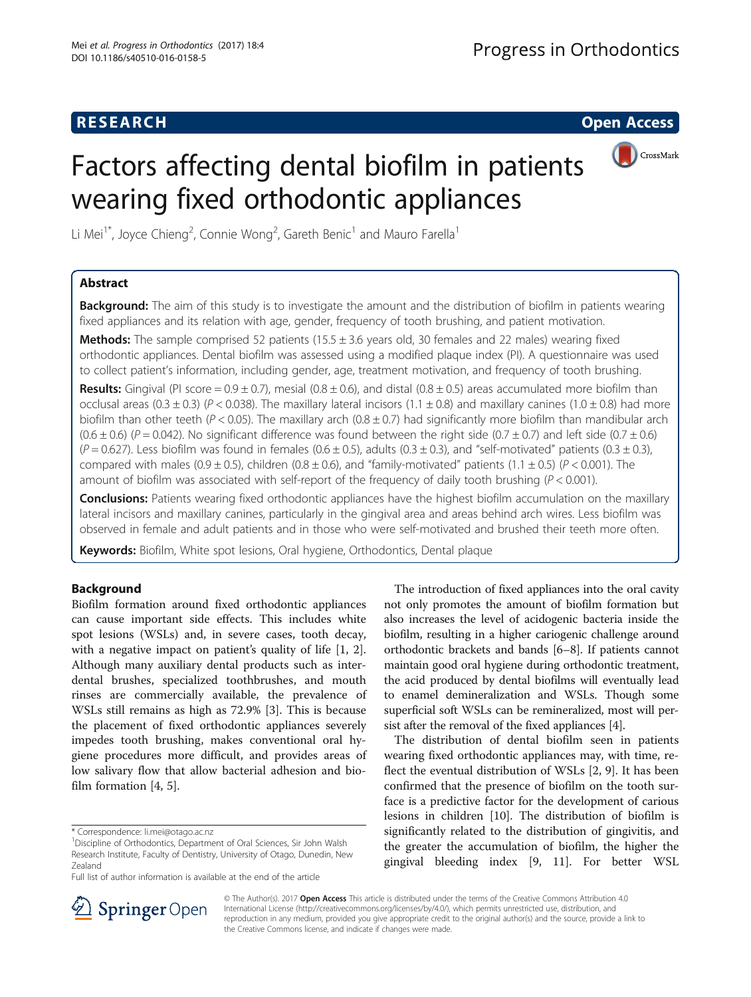## **RESEARCH CHE Open Access**

# Factors affecting dental biofilm in patients wearing fixed orthodontic appliances



Li Mei<sup>1\*</sup>, Joyce Chieng<sup>2</sup>, Connie Wong<sup>2</sup>, Gareth Benic<sup>1</sup> and Mauro Farella<sup>1</sup>

## Abstract

**Background:** The aim of this study is to investigate the amount and the distribution of biofilm in patients wearing fixed appliances and its relation with age, gender, frequency of tooth brushing, and patient motivation.

**Methods:** The sample comprised 52 patients (15.5  $\pm$  3.6 years old, 30 females and 22 males) wearing fixed orthodontic appliances. Dental biofilm was assessed using a modified plaque index (PI). A questionnaire was used to collect patient's information, including gender, age, treatment motivation, and frequency of tooth brushing.

**Results:** Gingival (PI score =  $0.9 \pm 0.7$ ), mesial ( $0.8 \pm 0.6$ ), and distal ( $0.8 \pm 0.5$ ) areas accumulated more biofilm than occlusal areas (0.3 ± 0.3) (P < 0.038). The maxillary lateral incisors (1.1 ± 0.8) and maxillary canines (1.0 ± 0.8) had more biofilm than other teeth ( $P < 0.05$ ). The maxillary arch (0.8  $\pm$  0.7) had significantly more biofilm than mandibular arch  $(0.6 \pm 0.6)$  (P = 0.042). No significant difference was found between the right side (0.7  $\pm$  0.7) and left side (0.7  $\pm$  0.6)  $(P = 0.627)$ . Less biofilm was found in females  $(0.6 \pm 0.5)$ , adults  $(0.3 \pm 0.3)$ , and "self-motivated" patients  $(0.3 \pm 0.3)$ , compared with males (0.9  $\pm$  0.5), children (0.8  $\pm$  0.6), and "family-motivated" patients (1.1  $\pm$  0.5) (P < 0.001). The amount of biofilm was associated with self-report of the frequency of daily tooth brushing ( $P < 0.001$ ).

**Conclusions:** Patients wearing fixed orthodontic appliances have the highest biofilm accumulation on the maxillary lateral incisors and maxillary canines, particularly in the gingival area and areas behind arch wires. Less biofilm was observed in female and adult patients and in those who were self-motivated and brushed their teeth more often.

Keywords: Biofilm, White spot lesions, Oral hygiene, Orthodontics, Dental plaque

## Background

Biofilm formation around fixed orthodontic appliances can cause important side effects. This includes white spot lesions (WSLs) and, in severe cases, tooth decay, with a negative impact on patient's quality of life [\[1](#page-5-0), [2](#page-5-0)]. Although many auxiliary dental products such as interdental brushes, specialized toothbrushes, and mouth rinses are commercially available, the prevalence of WSLs still remains as high as 72.9% [[3](#page-5-0)]. This is because the placement of fixed orthodontic appliances severely impedes tooth brushing, makes conventional oral hygiene procedures more difficult, and provides areas of low salivary flow that allow bacterial adhesion and biofilm formation [\[4](#page-5-0), [5](#page-5-0)].

Full list of author information is available at the end of the article

The introduction of fixed appliances into the oral cavity not only promotes the amount of biofilm formation but also increases the level of acidogenic bacteria inside the biofilm, resulting in a higher cariogenic challenge around orthodontic brackets and bands [[6](#page-5-0)–[8](#page-5-0)]. If patients cannot maintain good oral hygiene during orthodontic treatment, the acid produced by dental biofilms will eventually lead to enamel demineralization and WSLs. Though some superficial soft WSLs can be remineralized, most will persist after the removal of the fixed appliances [\[4\]](#page-5-0).

The distribution of dental biofilm seen in patients wearing fixed orthodontic appliances may, with time, reflect the eventual distribution of WSLs [\[2](#page-5-0), [9](#page-5-0)]. It has been confirmed that the presence of biofilm on the tooth surface is a predictive factor for the development of carious lesions in children [[10](#page-5-0)]. The distribution of biofilm is significantly related to the distribution of gingivitis, and the greater the accumulation of biofilm, the higher the gingival bleeding index [[9, 11](#page-5-0)]. For better WSL



© The Author(s). 2017 Open Access This article is distributed under the terms of the Creative Commons Attribution 4.0 International License ([http://creativecommons.org/licenses/by/4.0/\)](http://creativecommons.org/licenses/by/4.0/), which permits unrestricted use, distribution, and reproduction in any medium, provided you give appropriate credit to the original author(s) and the source, provide a link to the Creative Commons license, and indicate if changes were made.

<sup>\*</sup> Correspondence: [li.mei@otago.ac.nz](mailto:li.mei@otago.ac.nz) <sup>1</sup>

<sup>&</sup>lt;sup>1</sup> Discipline of Orthodontics, Department of Oral Sciences, Sir John Walsh Research Institute, Faculty of Dentistry, University of Otago, Dunedin, New Zealand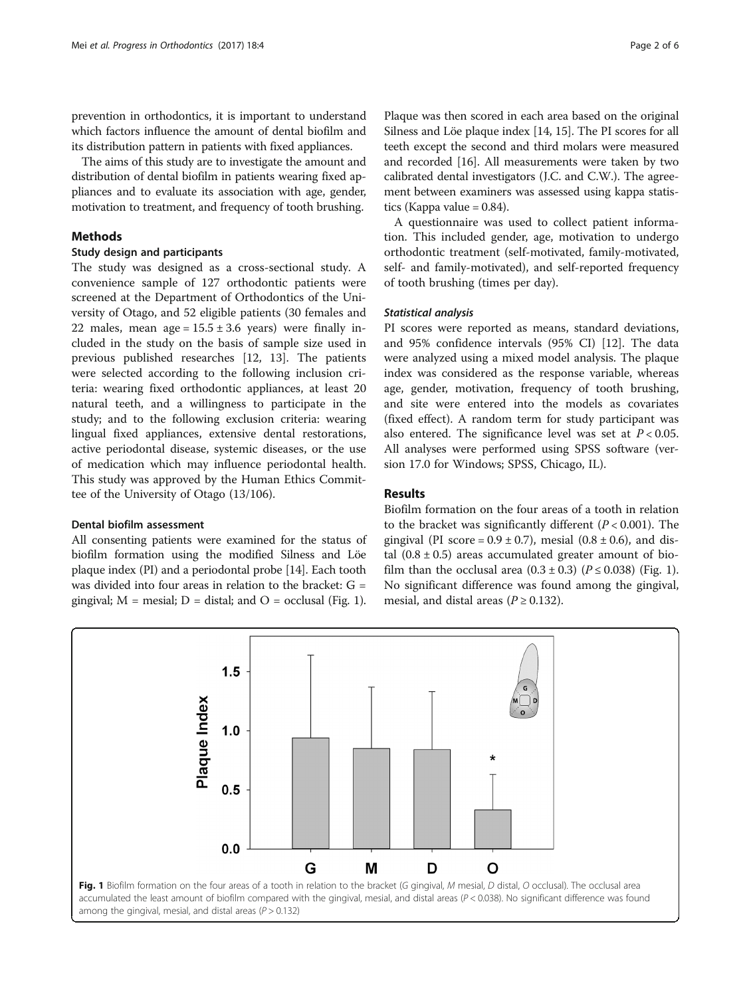prevention in orthodontics, it is important to understand which factors influence the amount of dental biofilm and its distribution pattern in patients with fixed appliances.

The aims of this study are to investigate the amount and distribution of dental biofilm in patients wearing fixed appliances and to evaluate its association with age, gender, motivation to treatment, and frequency of tooth brushing.

### Methods

## Study design and participants

The study was designed as a cross-sectional study. A convenience sample of 127 orthodontic patients were screened at the Department of Orthodontics of the University of Otago, and 52 eligible patients (30 females and 22 males, mean age =  $15.5 \pm 3.6$  years) were finally included in the study on the basis of sample size used in previous published researches [[12](#page-5-0), [13\]](#page-5-0). The patients were selected according to the following inclusion criteria: wearing fixed orthodontic appliances, at least 20 natural teeth, and a willingness to participate in the study; and to the following exclusion criteria: wearing lingual fixed appliances, extensive dental restorations, active periodontal disease, systemic diseases, or the use of medication which may influence periodontal health. This study was approved by the Human Ethics Committee of the University of Otago (13/106).

#### Dental biofilm assessment

All consenting patients were examined for the status of biofilm formation using the modified Silness and Löe plaque index (PI) and a periodontal probe [[14](#page-5-0)]. Each tooth was divided into four areas in relation to the bracket: G = gingival;  $M = \text{mesial}$ ;  $D = \text{distal}$ ; and  $O = \text{occlusal}$  (Fig. 1).

Plaque was then scored in each area based on the original Silness and Löe plaque index [\[14, 15](#page-5-0)]. The PI scores for all teeth except the second and third molars were measured and recorded [[16](#page-5-0)]. All measurements were taken by two calibrated dental investigators (J.C. and C.W.). The agreement between examiners was assessed using kappa statistics (Kappa value  $= 0.84$ ).

A questionnaire was used to collect patient information. This included gender, age, motivation to undergo orthodontic treatment (self-motivated, family-motivated, self- and family-motivated), and self-reported frequency of tooth brushing (times per day).

#### Statistical analysis

PI scores were reported as means, standard deviations, and 95% confidence intervals (95% CI) [\[12](#page-5-0)]. The data were analyzed using a mixed model analysis. The plaque index was considered as the response variable, whereas age, gender, motivation, frequency of tooth brushing, and site were entered into the models as covariates (fixed effect). A random term for study participant was also entered. The significance level was set at  $P < 0.05$ . All analyses were performed using SPSS software (version 17.0 for Windows; SPSS, Chicago, IL).

## **Results**

Biofilm formation on the four areas of a tooth in relation to the bracket was significantly different  $(P < 0.001)$ . The gingival (PI score =  $0.9 \pm 0.7$ ), mesial (0.8  $\pm$  0.6), and distal  $(0.8 \pm 0.5)$  areas accumulated greater amount of biofilm than the occlusal area  $(0.3 \pm 0.3)$   $(P \le 0.038)$  (Fig. 1). No significant difference was found among the gingival, mesial, and distal areas ( $P \ge 0.132$ ).

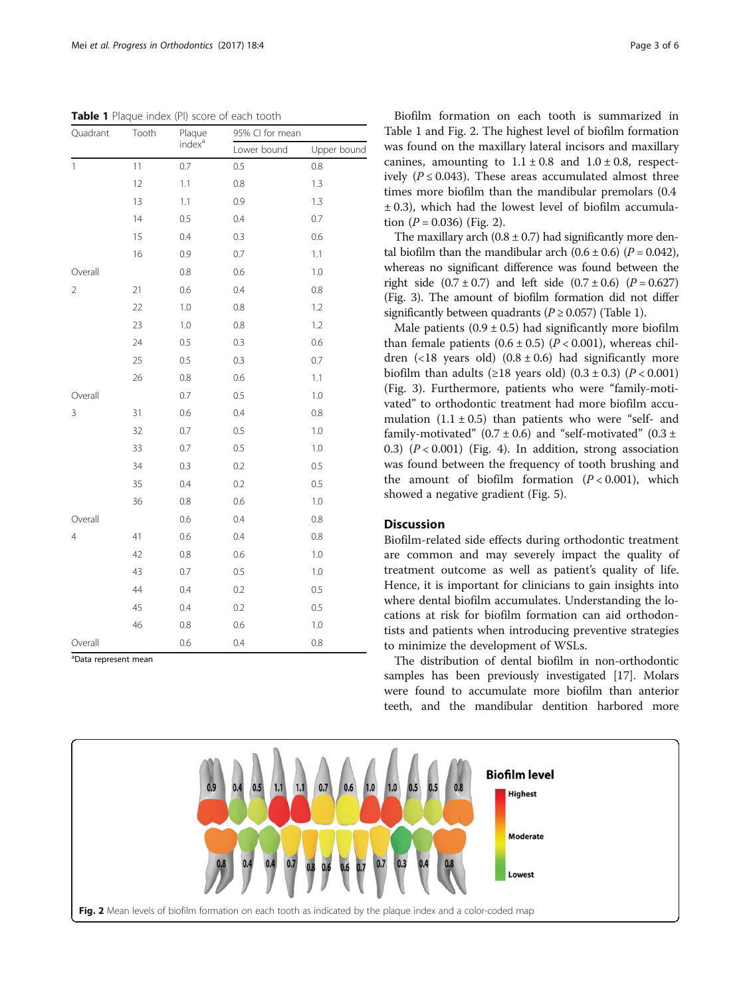Table 1 Plaque index (PI) score of each tooth

| Quadrant       | Tooth | Plaque<br>index <sup>a</sup> | 95% CI for mean |             |
|----------------|-------|------------------------------|-----------------|-------------|
|                |       |                              | Lower bound     | Upper bound |
| $\mathbf{1}$   | 11    | 0.7                          | 0.5             | 0.8         |
|                | 12    | 1.1                          | $0.8\,$         | 1.3         |
|                | 13    | 1.1                          | 0.9             | 1.3         |
|                | 14    | 0.5                          | 0.4             | 0.7         |
|                | 15    | 0.4                          | 0.3             | 0.6         |
|                | 16    | 0.9                          | 0.7             | 1.1         |
| Overall        |       | 0.8                          | 0.6             | 1.0         |
| $\overline{2}$ | 21    | 0.6                          | 0.4             | 0.8         |
|                | 22    | 1.0                          | 0.8             | 1.2         |
|                | 23    | 1.0                          | $0.8\,$         | 1.2         |
|                | 24    | 0.5                          | 0.3             | 0.6         |
|                | 25    | 0.5                          | 0.3             | 0.7         |
|                | 26    | 0.8                          | 0.6             | 1.1         |
| Overall        |       | 0.7                          | 0.5             | 1.0         |
| 3              | 31    | 0.6                          | 0.4             | 0.8         |
|                | 32    | 0.7                          | 0.5             | 1.0         |
|                | 33    | 0.7                          | 0.5             | 1.0         |
|                | 34    | 0.3                          | 0.2             | 0.5         |
|                | 35    | 0.4                          | 0.2             | 0.5         |
|                | 36    | 0.8                          | 0.6             | 1.0         |
| Overall        |       | 0.6                          | 0.4             | 0.8         |
| $\overline{4}$ | 41    | 0.6                          | 0.4             | 0.8         |
|                | 42    | 0.8                          | 0.6             | 1.0         |
|                | 43    | 0.7                          | 0.5             | 1.0         |
|                | 44    | 0.4                          | 0.2             | 0.5         |
|                | 45    | 0.4                          | 0.2             | 0.5         |
|                | 46    | 0.8                          | 0.6             | 1.0         |
| Overall        |       | 0.6                          | 0.4             | 0.8         |

<sup>a</sup>Data represent mean

Biofilm formation on each tooth is summarized in Table 1 and Fig. 2. The highest level of biofilm formation was found on the maxillary lateral incisors and maxillary canines, amounting to  $1.1 \pm 0.8$  and  $1.0 \pm 0.8$ , respectively  $(P \le 0.043)$ . These areas accumulated almost three times more biofilm than the mandibular premolars (0.4 ± 0.3), which had the lowest level of biofilm accumulation  $(P = 0.036)$  (Fig. 2).

The maxillary arch  $(0.8 \pm 0.7)$  had significantly more dental biofilm than the mandibular arch  $(0.6 \pm 0.6)$   $(P = 0.042)$ , whereas no significant difference was found between the right side  $(0.7 \pm 0.7)$  and left side  $(0.7 \pm 0.6)$   $(P = 0.627)$ (Fig. [3\)](#page-3-0). The amount of biofilm formation did not differ significantly between quadrants ( $P \ge 0.057$ ) (Table 1).

Male patients  $(0.9 \pm 0.5)$  had significantly more biofilm than female patients  $(0.6 \pm 0.5)$   $(P < 0.001)$ , whereas children (<18 years old)  $(0.8 \pm 0.6)$  had significantly more biofilm than adults ( $\geq$ 18 years old) (0.3 ± 0.3) ( $P < 0.001$ ) (Fig. [3](#page-3-0)). Furthermore, patients who were "family-motivated" to orthodontic treatment had more biofilm accumulation  $(1.1 \pm 0.5)$  than patients who were "self- and family-motivated" (0.7  $\pm$  0.6) and "self-motivated" (0.3  $\pm$ 0.3)  $(P < 0.001)$  (Fig. [4](#page-3-0)). In addition, strong association was found between the frequency of tooth brushing and the amount of biofilm formation  $(P < 0.001)$ , which showed a negative gradient (Fig. [5](#page-4-0)).

## **Discussion**

Biofilm-related side effects during orthodontic treatment are common and may severely impact the quality of treatment outcome as well as patient's quality of life. Hence, it is important for clinicians to gain insights into where dental biofilm accumulates. Understanding the locations at risk for biofilm formation can aid orthodontists and patients when introducing preventive strategies to minimize the development of WSLs.

The distribution of dental biofilm in non-orthodontic samples has been previously investigated [[17](#page-5-0)]. Molars were found to accumulate more biofilm than anterior teeth, and the mandibular dentition harbored more

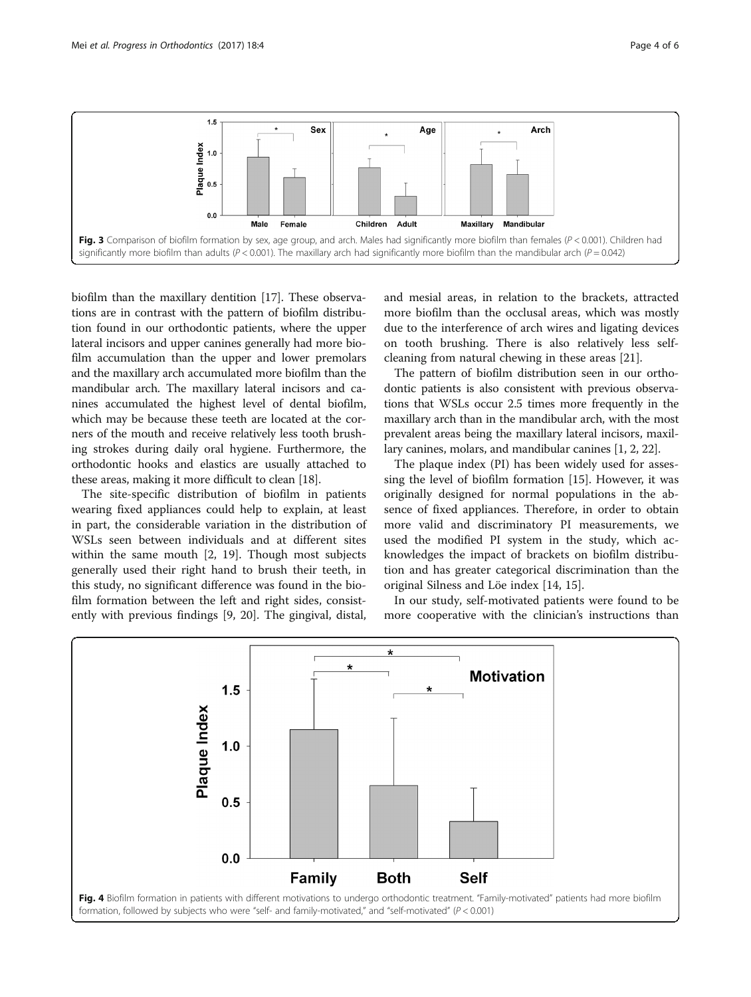<span id="page-3-0"></span>

biofilm than the maxillary dentition [\[17\]](#page-5-0). These observations are in contrast with the pattern of biofilm distribution found in our orthodontic patients, where the upper lateral incisors and upper canines generally had more biofilm accumulation than the upper and lower premolars and the maxillary arch accumulated more biofilm than the mandibular arch. The maxillary lateral incisors and canines accumulated the highest level of dental biofilm, which may be because these teeth are located at the corners of the mouth and receive relatively less tooth brushing strokes during daily oral hygiene. Furthermore, the orthodontic hooks and elastics are usually attached to these areas, making it more difficult to clean [[18](#page-5-0)].

The site-specific distribution of biofilm in patients wearing fixed appliances could help to explain, at least in part, the considerable variation in the distribution of WSLs seen between individuals and at different sites within the same mouth [[2, 19](#page-5-0)]. Though most subjects generally used their right hand to brush their teeth, in this study, no significant difference was found in the biofilm formation between the left and right sides, consistently with previous findings [[9, 20](#page-5-0)]. The gingival, distal,

and mesial areas, in relation to the brackets, attracted more biofilm than the occlusal areas, which was mostly due to the interference of arch wires and ligating devices on tooth brushing. There is also relatively less selfcleaning from natural chewing in these areas [[21](#page-5-0)].

The pattern of biofilm distribution seen in our orthodontic patients is also consistent with previous observations that WSLs occur 2.5 times more frequently in the maxillary arch than in the mandibular arch, with the most prevalent areas being the maxillary lateral incisors, maxillary canines, molars, and mandibular canines [\[1](#page-5-0), [2, 22\]](#page-5-0).

The plaque index (PI) has been widely used for assessing the level of biofilm formation [\[15\]](#page-5-0). However, it was originally designed for normal populations in the absence of fixed appliances. Therefore, in order to obtain more valid and discriminatory PI measurements, we used the modified PI system in the study, which acknowledges the impact of brackets on biofilm distribution and has greater categorical discrimination than the original Silness and Löe index [[14](#page-5-0), [15](#page-5-0)].

In our study, self-motivated patients were found to be more cooperative with the clinician's instructions than

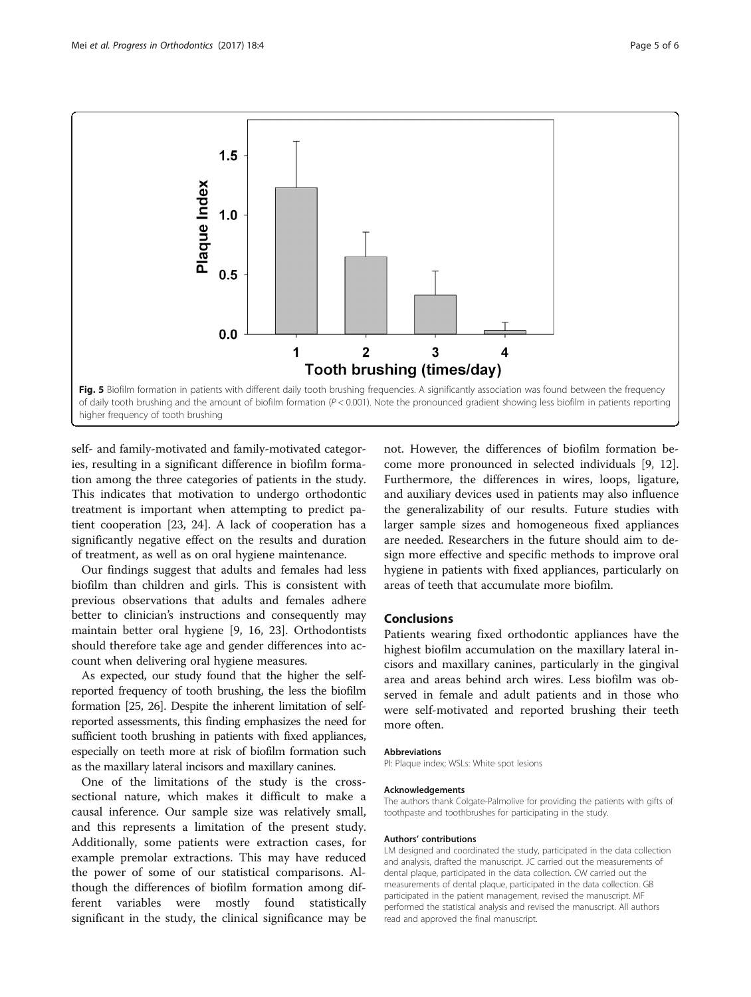<span id="page-4-0"></span>

self- and family-motivated and family-motivated categories, resulting in a significant difference in biofilm formation among the three categories of patients in the study. This indicates that motivation to undergo orthodontic treatment is important when attempting to predict patient cooperation [[23, 24\]](#page-5-0). A lack of cooperation has a

significantly negative effect on the results and duration of treatment, as well as on oral hygiene maintenance. Our findings suggest that adults and females had less biofilm than children and girls. This is consistent with previous observations that adults and females adhere better to clinician's instructions and consequently may maintain better oral hygiene [\[9](#page-5-0), [16, 23](#page-5-0)]. Orthodontists should therefore take age and gender differences into ac-

count when delivering oral hygiene measures. As expected, our study found that the higher the selfreported frequency of tooth brushing, the less the biofilm formation [\[25, 26\]](#page-5-0). Despite the inherent limitation of selfreported assessments, this finding emphasizes the need for sufficient tooth brushing in patients with fixed appliances, especially on teeth more at risk of biofilm formation such as the maxillary lateral incisors and maxillary canines.

One of the limitations of the study is the crosssectional nature, which makes it difficult to make a causal inference. Our sample size was relatively small, and this represents a limitation of the present study. Additionally, some patients were extraction cases, for example premolar extractions. This may have reduced the power of some of our statistical comparisons. Although the differences of biofilm formation among different variables were mostly found statistically significant in the study, the clinical significance may be

not. However, the differences of biofilm formation become more pronounced in selected individuals [[9, 12](#page-5-0)]. Furthermore, the differences in wires, loops, ligature, and auxiliary devices used in patients may also influence the generalizability of our results. Future studies with larger sample sizes and homogeneous fixed appliances are needed. Researchers in the future should aim to design more effective and specific methods to improve oral hygiene in patients with fixed appliances, particularly on areas of teeth that accumulate more biofilm.

## **Conclusions**

Patients wearing fixed orthodontic appliances have the highest biofilm accumulation on the maxillary lateral incisors and maxillary canines, particularly in the gingival area and areas behind arch wires. Less biofilm was observed in female and adult patients and in those who were self-motivated and reported brushing their teeth more often.

#### Abbreviations

PI: Plaque index; WSLs: White spot lesions

#### Acknowledgements

The authors thank Colgate-Palmolive for providing the patients with gifts of toothpaste and toothbrushes for participating in the study.

#### Authors' contributions

LM designed and coordinated the study, participated in the data collection and analysis, drafted the manuscript. JC carried out the measurements of dental plaque, participated in the data collection. CW carried out the measurements of dental plaque, participated in the data collection. GB participated in the patient management, revised the manuscript. MF performed the statistical analysis and revised the manuscript. All authors read and approved the final manuscript.